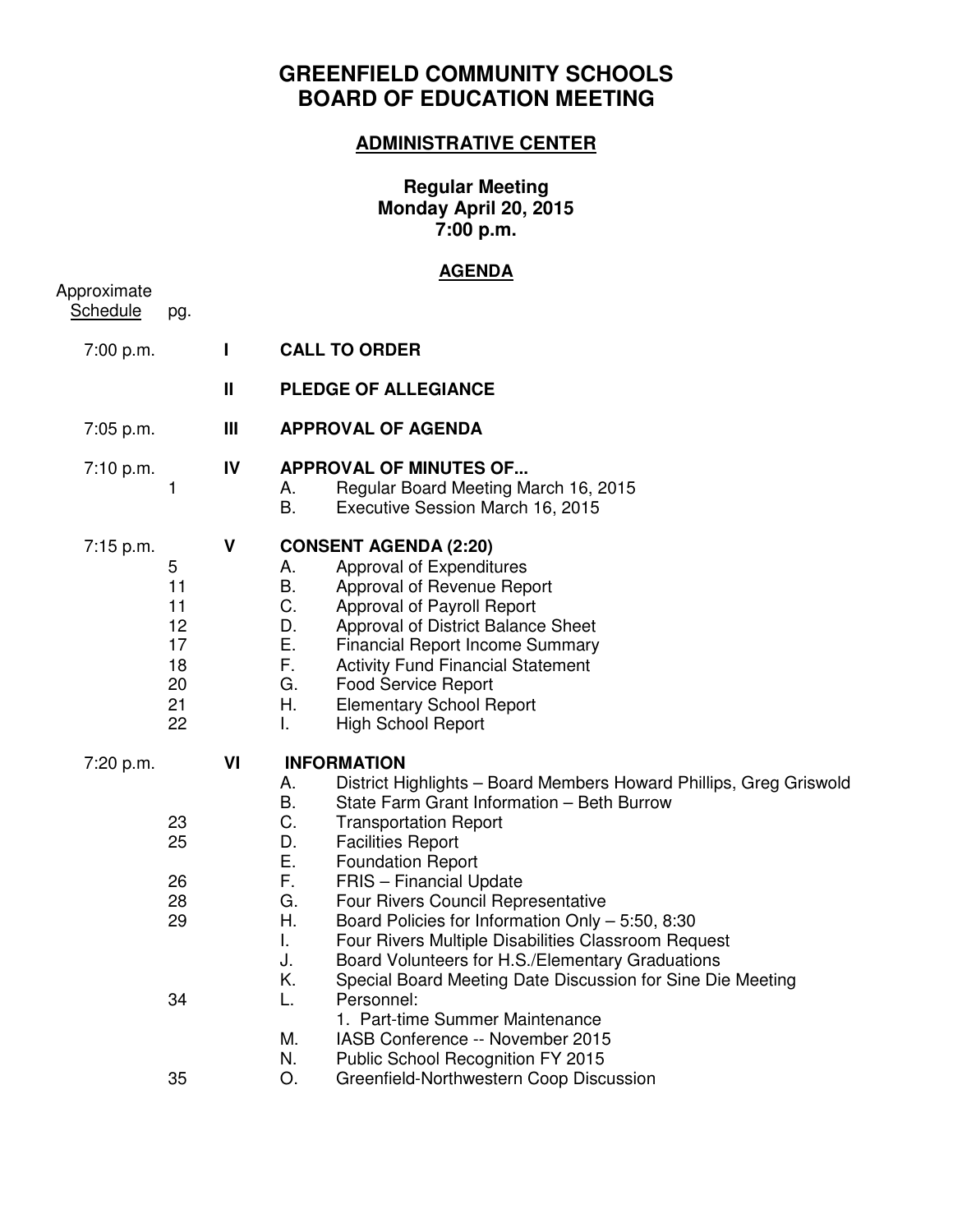# **GREENFIELD COMMUNITY SCHOOLS BOARD OF EDUCATION MEETING**

## **ADMINISTRATIVE CENTER**

#### **Regular Meeting Monday April 20, 2015 7:00 p.m.**

### **AGENDA**

| Approximate<br><b>Schedule</b> | pg.                                               |              |                                                                                                                                                                                                                                                                                                                                                                                                                                                                                                                                                                                                                                                                                                                                                   |
|--------------------------------|---------------------------------------------------|--------------|---------------------------------------------------------------------------------------------------------------------------------------------------------------------------------------------------------------------------------------------------------------------------------------------------------------------------------------------------------------------------------------------------------------------------------------------------------------------------------------------------------------------------------------------------------------------------------------------------------------------------------------------------------------------------------------------------------------------------------------------------|
| 7:00 p.m.                      |                                                   | $\mathbf{I}$ | <b>CALL TO ORDER</b>                                                                                                                                                                                                                                                                                                                                                                                                                                                                                                                                                                                                                                                                                                                              |
|                                |                                                   | $\mathbf{I}$ | <b>PLEDGE OF ALLEGIANCE</b>                                                                                                                                                                                                                                                                                                                                                                                                                                                                                                                                                                                                                                                                                                                       |
| 7:05 p.m.                      |                                                   | Ш            | <b>APPROVAL OF AGENDA</b>                                                                                                                                                                                                                                                                                                                                                                                                                                                                                                                                                                                                                                                                                                                         |
| 7:10 p.m.                      | 1                                                 | IV           | <b>APPROVAL OF MINUTES OF</b><br>Regular Board Meeting March 16, 2015<br>А.<br>В.<br>Executive Session March 16, 2015                                                                                                                                                                                                                                                                                                                                                                                                                                                                                                                                                                                                                             |
| 7:15 p.m.                      | 5<br>11<br>11<br>12<br>17<br>18<br>20<br>21<br>22 | V            | <b>CONSENT AGENDA (2:20)</b><br>Approval of Expenditures<br>А.<br>В.<br>Approval of Revenue Report<br>C.<br>Approval of Payroll Report<br>D.<br>Approval of District Balance Sheet<br>Ε.<br><b>Financial Report Income Summary</b><br>F.<br><b>Activity Fund Financial Statement</b><br>G.<br><b>Food Service Report</b><br>Η.<br><b>Elementary School Report</b><br>L.<br><b>High School Report</b>                                                                                                                                                                                                                                                                                                                                              |
| 7:20 p.m.                      | 23<br>25<br>26<br>28<br>29<br>34                  | VI           | <b>INFORMATION</b><br>District Highlights - Board Members Howard Phillips, Greg Griswold<br>А.<br>В.<br>State Farm Grant Information - Beth Burrow<br>C.<br><b>Transportation Report</b><br>D.<br><b>Facilities Report</b><br>Ε.<br><b>Foundation Report</b><br>F.<br><b>FRIS</b> – Financial Update<br>G.<br>Four Rivers Council Representative<br>Η.<br>Board Policies for Information Only - 5:50, 8:30<br>L.<br>Four Rivers Multiple Disabilities Classroom Request<br>J.<br>Board Volunteers for H.S./Elementary Graduations<br>Κ.<br>Special Board Meeting Date Discussion for Sine Die Meeting<br>L.<br>Personnel:<br>1. Part-time Summer Maintenance<br>М.<br>IASB Conference -- November 2015<br>N.<br>Public School Recognition FY 2015 |
|                                | 35                                                |              | О.<br>Greenfield-Northwestern Coop Discussion                                                                                                                                                                                                                                                                                                                                                                                                                                                                                                                                                                                                                                                                                                     |